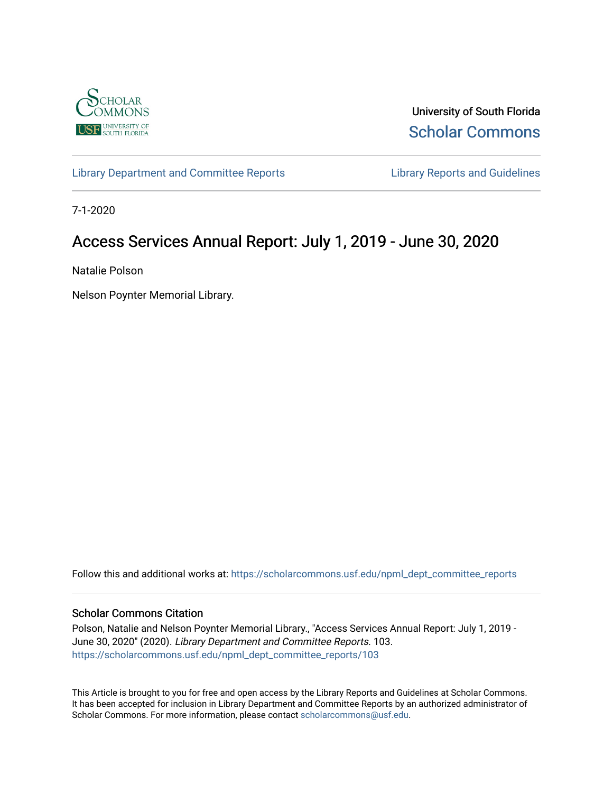

University of South Florida [Scholar Commons](https://scholarcommons.usf.edu/) 

[Library Department and Committee Reports](https://scholarcommons.usf.edu/npml_dept_committee_reports) **Library Reports and Guidelines** 

7-1-2020

# Access Services Annual Report: July 1, 2019 - June 30, 2020

Natalie Polson

Nelson Poynter Memorial Library.

Follow this and additional works at: [https://scholarcommons.usf.edu/npml\\_dept\\_committee\\_reports](https://scholarcommons.usf.edu/npml_dept_committee_reports?utm_source=scholarcommons.usf.edu%2Fnpml_dept_committee_reports%2F103&utm_medium=PDF&utm_campaign=PDFCoverPages)

#### Scholar Commons Citation

Polson, Natalie and Nelson Poynter Memorial Library., "Access Services Annual Report: July 1, 2019 - June 30, 2020" (2020). Library Department and Committee Reports. 103. [https://scholarcommons.usf.edu/npml\\_dept\\_committee\\_reports/103](https://scholarcommons.usf.edu/npml_dept_committee_reports/103?utm_source=scholarcommons.usf.edu%2Fnpml_dept_committee_reports%2F103&utm_medium=PDF&utm_campaign=PDFCoverPages) 

This Article is brought to you for free and open access by the Library Reports and Guidelines at Scholar Commons. It has been accepted for inclusion in Library Department and Committee Reports by an authorized administrator of Scholar Commons. For more information, please contact [scholarcommons@usf.edu](mailto:scholarcommons@usf.edu).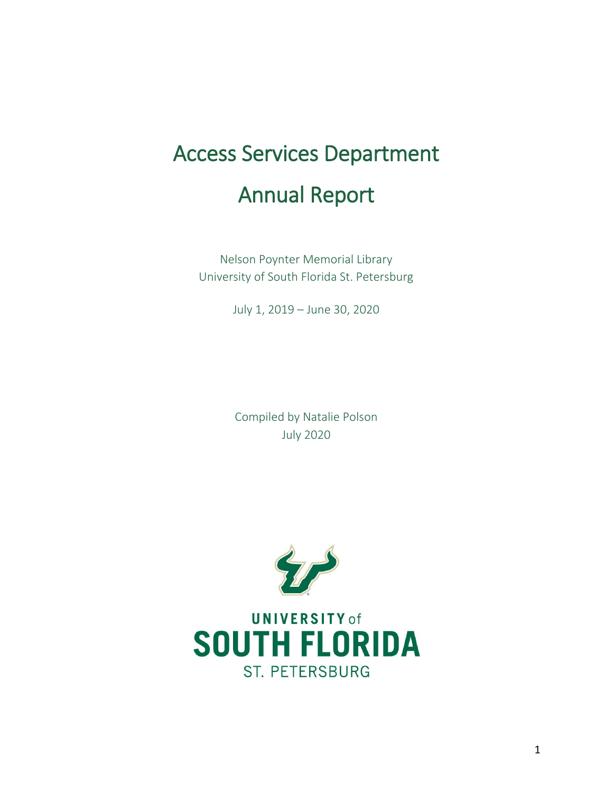# Access Services Department Annual Report

Nelson Poynter Memorial Library University of South Florida St. Petersburg

July 1, 2019 – June 30, 2020

Compiled by Natalie Polson July 2020



**UNIVERSITY of SOUTH FLORIDA ST. PETERSBURG**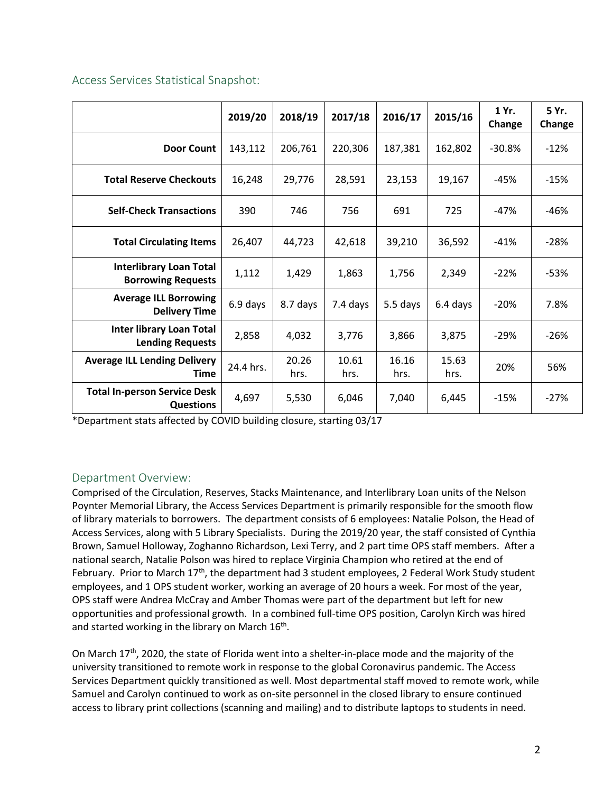|                                                             | 2019/20   | 2018/19       | 2017/18       | 2016/17       | 2015/16       | 1 Yr.<br>Change | 5 Yr.<br>Change |
|-------------------------------------------------------------|-----------|---------------|---------------|---------------|---------------|-----------------|-----------------|
| <b>Door Count</b>                                           | 143,112   | 206,761       | 220,306       | 187,381       | 162,802       | $-30.8%$        | $-12%$          |
| <b>Total Reserve Checkouts</b>                              | 16,248    | 29,776        | 28,591        | 23,153        | 19,167        | -45%            | $-15%$          |
| <b>Self-Check Transactions</b>                              | 390       | 746           | 756           | 691           | 725           | -47%            | $-46%$          |
| <b>Total Circulating Items</b>                              | 26,407    | 44,723        | 42,618        | 39,210        | 36,592        | $-41%$          | $-28%$          |
| <b>Interlibrary Loan Total</b><br><b>Borrowing Requests</b> | 1,112     | 1,429         | 1,863         | 1,756         | 2,349         | $-22%$          | $-53%$          |
| <b>Average ILL Borrowing</b><br><b>Delivery Time</b>        | 6.9 days  | 8.7 days      | 7.4 days      | 5.5 days      | 6.4 days      | $-20%$          | 7.8%            |
| <b>Inter library Loan Total</b><br><b>Lending Requests</b>  | 2,858     | 4,032         | 3,776         | 3,866         | 3,875         | $-29%$          | $-26%$          |
| <b>Average ILL Lending Delivery</b><br>Time                 | 24.4 hrs. | 20.26<br>hrs. | 10.61<br>hrs. | 16.16<br>hrs. | 15.63<br>hrs. | 20%             | 56%             |
| <b>Total In-person Service Desk</b><br><b>Questions</b>     | 4,697     | 5,530         | 6,046         | 7,040         | 6,445         | $-15%$          | $-27%$          |

Access Services Statistical Snapshot:

\*Department stats affected by COVID building closure, starting 03/17

# Department Overview:

Comprised of the Circulation, Reserves, Stacks Maintenance, and Interlibrary Loan units of the Nelson Poynter Memorial Library, the Access Services Department is primarily responsible for the smooth flow of library materials to borrowers. The department consists of 6 employees: Natalie Polson, the Head of Access Services, along with 5 Library Specialists. During the 2019/20 year, the staff consisted of Cynthia Brown, Samuel Holloway, Zoghanno Richardson, Lexi Terry, and 2 part time OPS staff members. After a national search, Natalie Polson was hired to replace Virginia Champion who retired at the end of February. Prior to March  $17<sup>th</sup>$ , the department had 3 student employees, 2 Federal Work Study student employees, and 1 OPS student worker, working an average of 20 hours a week. For most of the year, OPS staff were Andrea McCray and Amber Thomas were part of the department but left for new opportunities and professional growth. In a combined full-time OPS position, Carolyn Kirch was hired and started working in the library on March 16<sup>th</sup>.

On March 17th, 2020, the state of Florida went into a shelter-in-place mode and the majority of the university transitioned to remote work in response to the global Coronavirus pandemic. The Access Services Department quickly transitioned as well. Most departmental staff moved to remote work, while Samuel and Carolyn continued to work as on-site personnel in the closed library to ensure continued access to library print collections (scanning and mailing) and to distribute laptops to students in need.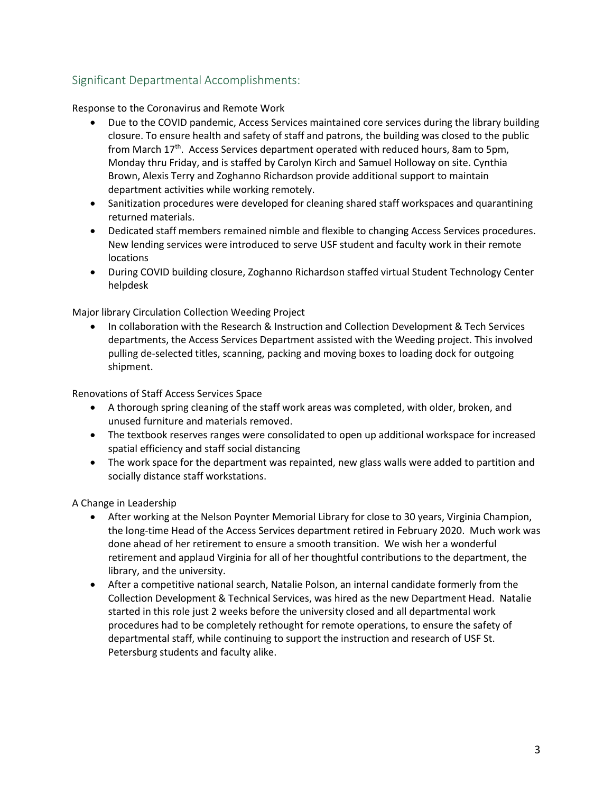# Significant Departmental Accomplishments:

Response to the Coronavirus and Remote Work

- Due to the COVID pandemic, Access Services maintained core services during the library building closure. To ensure health and safety of staff and patrons, the building was closed to the public from March 17<sup>th</sup>. Access Services department operated with reduced hours, 8am to 5pm, Monday thru Friday, and is staffed by Carolyn Kirch and Samuel Holloway on site. Cynthia Brown, Alexis Terry and Zoghanno Richardson provide additional support to maintain department activities while working remotely.
- Sanitization procedures were developed for cleaning shared staff workspaces and quarantining returned materials.
- Dedicated staff members remained nimble and flexible to changing Access Services procedures. New lending services were introduced to serve USF student and faculty work in their remote locations
- During COVID building closure, Zoghanno Richardson staffed virtual Student Technology Center helpdesk

Major library Circulation Collection Weeding Project

 In collaboration with the Research & Instruction and Collection Development & Tech Services departments, the Access Services Department assisted with the Weeding project. This involved pulling de-selected titles, scanning, packing and moving boxes to loading dock for outgoing shipment.

Renovations of Staff Access Services Space

- A thorough spring cleaning of the staff work areas was completed, with older, broken, and unused furniture and materials removed.
- The textbook reserves ranges were consolidated to open up additional workspace for increased spatial efficiency and staff social distancing
- The work space for the department was repainted, new glass walls were added to partition and socially distance staff workstations.

A Change in Leadership

- After working at the Nelson Poynter Memorial Library for close to 30 years, Virginia Champion, the long-time Head of the Access Services department retired in February 2020. Much work was done ahead of her retirement to ensure a smooth transition. We wish her a wonderful retirement and applaud Virginia for all of her thoughtful contributions to the department, the library, and the university.
- After a competitive national search, Natalie Polson, an internal candidate formerly from the Collection Development & Technical Services, was hired as the new Department Head. Natalie started in this role just 2 weeks before the university closed and all departmental work procedures had to be completely rethought for remote operations, to ensure the safety of departmental staff, while continuing to support the instruction and research of USF St. Petersburg students and faculty alike.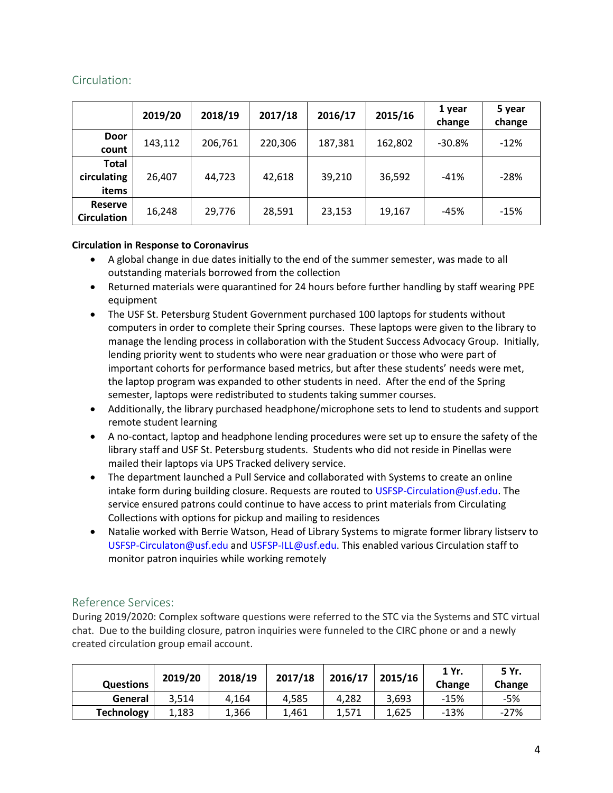# Circulation:

|                                      | 2019/20 | 2018/19 | 2017/18 | 2016/17 | 2015/16 | 1 year<br>change | 5 year<br>change |
|--------------------------------------|---------|---------|---------|---------|---------|------------------|------------------|
| <b>Door</b><br>count                 | 143,112 | 206,761 | 220,306 | 187,381 | 162,802 | $-30.8%$         | $-12%$           |
| Total<br>circulating<br>items        | 26,407  | 44,723  | 42,618  | 39,210  | 36,592  | $-41%$           | $-28%$           |
| <b>Reserve</b><br><b>Circulation</b> | 16,248  | 29,776  | 28,591  | 23,153  | 19,167  | -45%             | $-15%$           |

#### **Circulation in Response to Coronavirus**

- A global change in due dates initially to the end of the summer semester, was made to all outstanding materials borrowed from the collection
- Returned materials were quarantined for 24 hours before further handling by staff wearing PPE equipment
- The USF St. Petersburg Student Government purchased 100 laptops for students without computers in order to complete their Spring courses. These laptops were given to the library to manage the lending process in collaboration with the Student Success Advocacy Group. Initially, lending priority went to students who were near graduation or those who were part of important cohorts for performance based metrics, but after these students' needs were met, the laptop program was expanded to other students in need. After the end of the Spring semester, laptops were redistributed to students taking summer courses.
- Additionally, the library purchased headphone/microphone sets to lend to students and support remote student learning
- A no-contact, laptop and headphone lending procedures were set up to ensure the safety of the library staff and USF St. Petersburg students. Students who did not reside in Pinellas were mailed their laptops via UPS Tracked delivery service.
- The department launched a Pull Service and collaborated with Systems to create an online intake form during building closure. Requests are routed to [USFSP-Circulation@usf.edu.](mailto:USFSP-Circulation@usf.edu) The service ensured patrons could continue to have access to print materials from Circulating Collections with options for pickup and mailing to residences
- Natalie worked with Berrie Watson, Head of Library Systems to migrate former library listserv to [USFSP-Circulaton@usf.edu](mailto:USFSP-Circulaton@usf.edu) and [USFSP-ILL@usf.edu.](mailto:USFSP-ILL@usf.edu) This enabled various Circulation staff to monitor patron inquiries while working remotely

# Reference Services:

During 2019/2020: Complex software questions were referred to the STC via the Systems and STC virtual chat. Due to the building closure, patron inquiries were funneled to the CIRC phone or and a newly created circulation group email account.

| <b>Questions</b>  | 2019/20 | 2018/19 | 2017/18 | 2016/17 | 2015/16 | 1 Yr.<br>Change | 5 Yr.<br>Change |
|-------------------|---------|---------|---------|---------|---------|-----------------|-----------------|
| General           | 3.514   | 4.164   | 4.585   | 4.282   | 3.693   | $-15%$          | -5%             |
| <b>Technology</b> | 1,183   | 1,366   | 1,461   | 1,571   | 1,625   | $-13%$          | $-27%$          |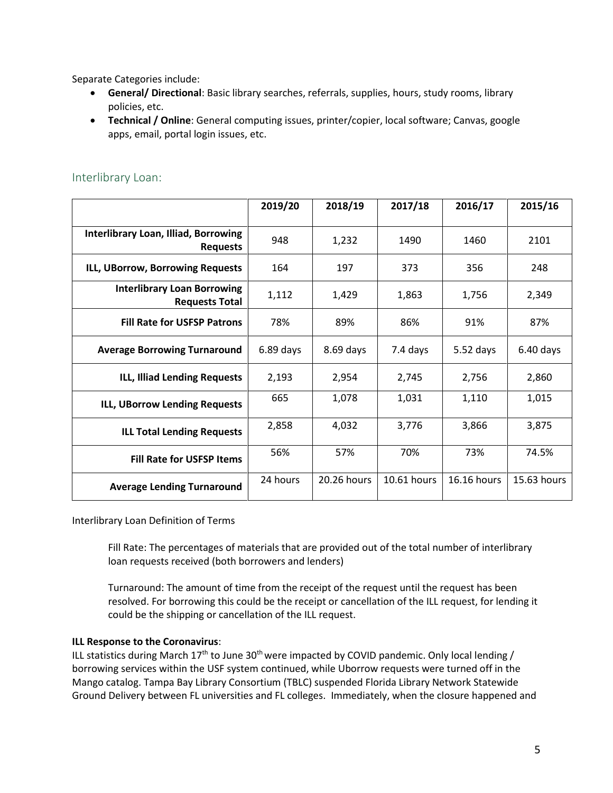Separate Categories include:

- **General/ Directional**: Basic library searches, referrals, supplies, hours, study rooms, library policies, etc.
- **Technical / Online**: General computing issues, printer/copier, local software; Canvas, google apps, email, portal login issues, etc.

|                                                                | 2019/20     | 2018/19     | 2017/18     | 2016/17     | 2015/16     |
|----------------------------------------------------------------|-------------|-------------|-------------|-------------|-------------|
| <b>Interlibrary Loan, Illiad, Borrowing</b><br><b>Requests</b> | 948         | 1,232       | 1490        | 1460        | 2101        |
| ILL, UBorrow, Borrowing Requests                               | 164         | 197         | 373         | 356         | 248         |
| <b>Interlibrary Loan Borrowing</b><br><b>Requests Total</b>    | 1,112       | 1,429       | 1,863       | 1,756       | 2,349       |
| <b>Fill Rate for USFSP Patrons</b>                             | 78%         | 89%         | 86%         | 91%         | 87%         |
| <b>Average Borrowing Turnaround</b>                            | $6.89$ days | 8.69 days   | 7.4 days    | $5.52$ days | $6.40$ days |
| ILL, Illiad Lending Requests                                   | 2,193       | 2,954       | 2,745       | 2,756       | 2,860       |
| ILL, UBorrow Lending Requests                                  | 665         | 1,078       | 1,031       | 1,110       | 1,015       |
| <b>ILL Total Lending Requests</b>                              | 2,858       | 4,032       | 3,776       | 3,866       | 3,875       |
| <b>Fill Rate for USFSP Items</b>                               | 56%         | 57%         | 70%         | 73%         | 74.5%       |
| <b>Average Lending Turnaround</b>                              | 24 hours    | 20.26 hours | 10.61 hours | 16.16 hours | 15.63 hours |

## Interlibrary Loan:

Interlibrary Loan Definition of Terms

Fill Rate: The percentages of materials that are provided out of the total number of interlibrary loan requests received (both borrowers and lenders)

Turnaround: The amount of time from the receipt of the request until the request has been resolved. For borrowing this could be the receipt or cancellation of the ILL request, for lending it could be the shipping or cancellation of the ILL request.

#### **ILL Response to the Coronavirus**:

ILL statistics during March  $17<sup>th</sup>$  to June 30<sup>th</sup> were impacted by COVID pandemic. Only local lending / borrowing services within the USF system continued, while Uborrow requests were turned off in the Mango catalog. Tampa Bay Library Consortium (TBLC) suspended Florida Library Network Statewide Ground Delivery between FL universities and FL colleges. Immediately, when the closure happened and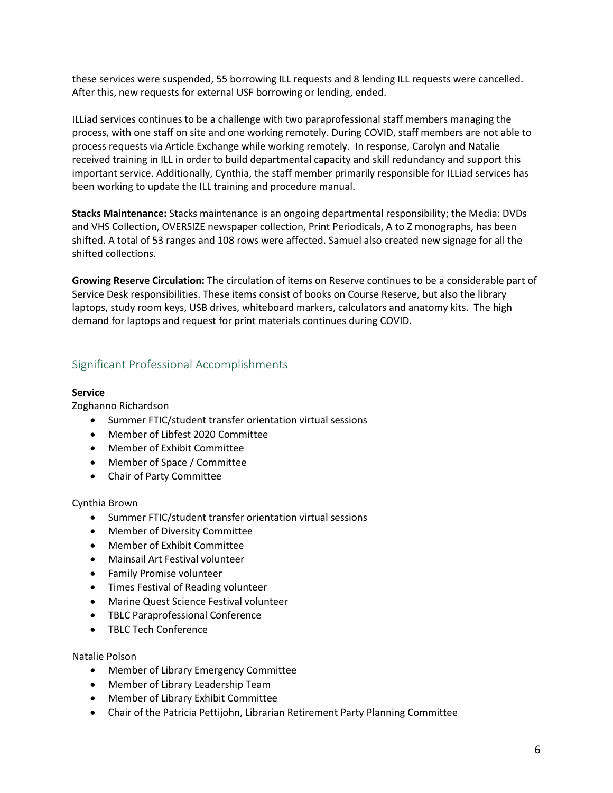these services were suspended, 55 borrowing ILL requests and 8 lending ILL requests were cancelled. After this, new requests for external USF borrowing or lending, ended.

ILLiad services continues to be a challenge with two paraprofessional staff members managing the process, with one staff on site and one working remotely. During COVID, staff members are not able to process requests via Article Exchange while working remotely. In response, Carolyn and Natalie received training in ILL in order to build departmental capacity and skill redundancy and support this important service. Additionally, Cynthia, the staff member primarily responsible for ILLiad services has been working to update the ILL training and procedure manual.

**Stacks Maintenance:** Stacks maintenance is an ongoing departmental responsibility; the Media: DVDs and VHS Collection, OVERSIZE newspaper collection, Print Periodicals, A to Z monographs, has been shifted. A total of 53 ranges and 108 rows were affected. Samuel also created new signage for all the shifted collections.

**Growing Reserve Circulation:** The circulation of items on Reserve continues to be a considerable part of Service Desk responsibilities. These items consist of books on Course Reserve, but also the library laptops, study room keys, USB drives, whiteboard markers, calculators and anatomy kits. The high demand for laptops and request for print materials continues during COVID.

# Significant Professional Accomplishments

#### **Service**

Zoghanno Richardson

- Summer FTIC/student transfer orientation virtual sessions
- Member of Libfest 2020 Committee
- Member of Exhibit Committee
- Member of Space / Committee
- Chair of Party Committee

#### Cynthia Brown

- Summer FTIC/student transfer orientation virtual sessions
- Member of Diversity Committee
- Member of Exhibit Committee
- Mainsail Art Festival volunteer
- Family Promise volunteer
- Times Festival of Reading volunteer
- Marine Quest Science Festival volunteer
- TBLC Paraprofessional Conference
- TBLC Tech Conference

#### Natalie Polson

- Member of Library Emergency Committee
- Member of Library Leadership Team
- Member of Library Exhibit Committee
- Chair of the Patricia Pettijohn, Librarian Retirement Party Planning Committee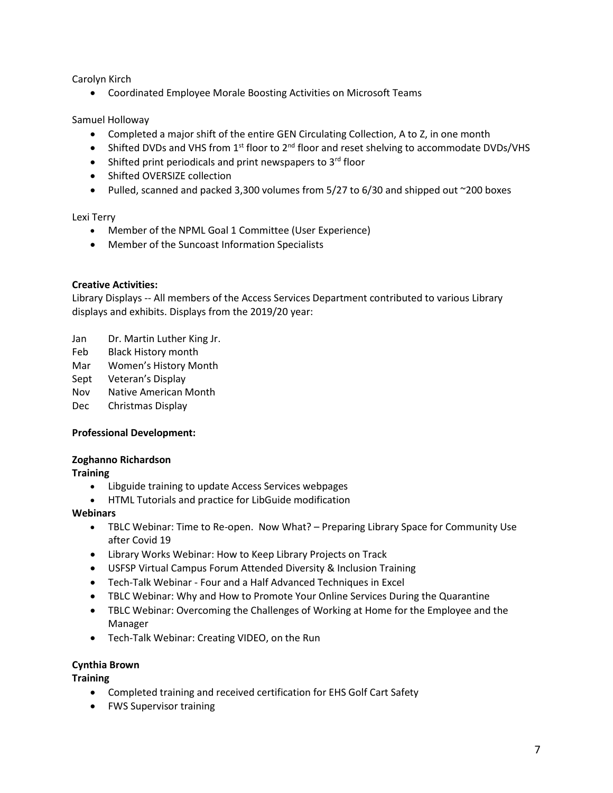Carolyn Kirch

Coordinated Employee Morale Boosting Activities on Microsoft Teams

Samuel Holloway

- Completed a major shift of the entire GEN Circulating Collection, A to Z, in one month
- $\bullet$  Shifted DVDs and VHS from 1<sup>st</sup> floor to 2<sup>nd</sup> floor and reset shelving to accommodate DVDs/VHS
- $\bullet$  Shifted print periodicals and print newspapers to 3<sup>rd</sup> floor
- Shifted OVERSIZE collection
- Pulled, scanned and packed 3,300 volumes from  $5/27$  to  $6/30$  and shipped out  $\sim$ 200 boxes

Lexi Terry

- Member of the NPML Goal 1 Committee (User Experience)
- Member of the Suncoast Information Specialists

#### **Creative Activities:**

Library Displays -- All members of the Access Services Department contributed to various Library displays and exhibits. Displays from the 2019/20 year:

- Jan Dr. Martin Luther King Jr.
- Feb Black History month
- Mar Women's History Month
- Sept Veteran's Display
- Nov Native American Month
- Dec Christmas Display

#### **Professional Development:**

#### **Zoghanno Richardson**

**Training**

- Libguide training to update Access Services webpages
- HTML Tutorials and practice for LibGuide modification

#### **Webinars**

- TBLC Webinar: Time to Re-open. Now What? Preparing Library Space for Community Use after Covid 19
- Library Works Webinar: How to Keep Library Projects on Track
- USFSP Virtual Campus Forum Attended Diversity & Inclusion Training
- Tech-Talk Webinar Four and a Half Advanced Techniques in Excel
- TBLC Webinar: Why and How to Promote Your Online Services During the Quarantine
- TBLC Webinar: Overcoming the Challenges of Working at Home for the Employee and the Manager
- Tech-Talk Webinar: Creating VIDEO, on the Run

#### **Cynthia Brown**

**Training**

- Completed training and received certification for EHS Golf Cart Safety
- FWS Supervisor training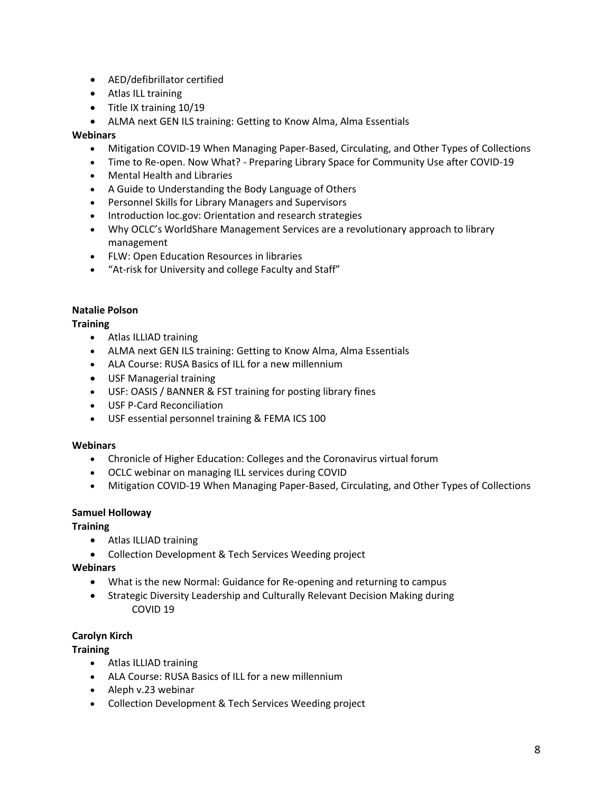- AED/defibrillator certified
- Atlas ILL training
- Title IX training 10/19
- ALMA next GEN ILS training: Getting to Know Alma, Alma Essentials

#### **Webinars**

- Mitigation COVID-19 When Managing Paper-Based, Circulating, and Other Types of Collections
- Time to Re-open. Now What? Preparing Library Space for Community Use after COVID-19
- Mental Health and Libraries
- A Guide to Understanding the Body Language of Others
- Personnel Skills for Library Managers and Supervisors
- Introduction loc.gov: Orientation and research strategies
- Why OCLC's WorldShare Management Services are a revolutionary approach to library management
- FLW: Open Education Resources in libraries
- "At-risk for University and college Faculty and Staff"

#### **Natalie Polson**

#### **Training**

- Atlas ILLIAD training
- ALMA next GEN ILS training: Getting to Know Alma, Alma Essentials
- ALA Course: RUSA Basics of ILL for a new millennium
- USF Managerial training
- USF: OASIS / BANNER & FST training for posting library fines
- USF P-Card Reconciliation
- USF essential personnel training & FEMA ICS 100

#### **Webinars**

- Chronicle of Higher Education: Colleges and the Coronavirus virtual forum
- OCLC webinar on managing ILL services during COVID
- Mitigation COVID-19 When Managing Paper-Based, Circulating, and Other Types of Collections

#### **Samuel Holloway**

**Training**

- Atlas ILLIAD training
- Collection Development & Tech Services Weeding project

#### **Webinars**

- What is the new Normal: Guidance for Re-opening and returning to campus
- Strategic Diversity Leadership and Culturally Relevant Decision Making during COVID 19

#### **Carolyn Kirch**

#### **Training**

- Atlas ILLIAD training
- ALA Course: RUSA Basics of ILL for a new millennium
- Aleph v.23 webinar
- Collection Development & Tech Services Weeding project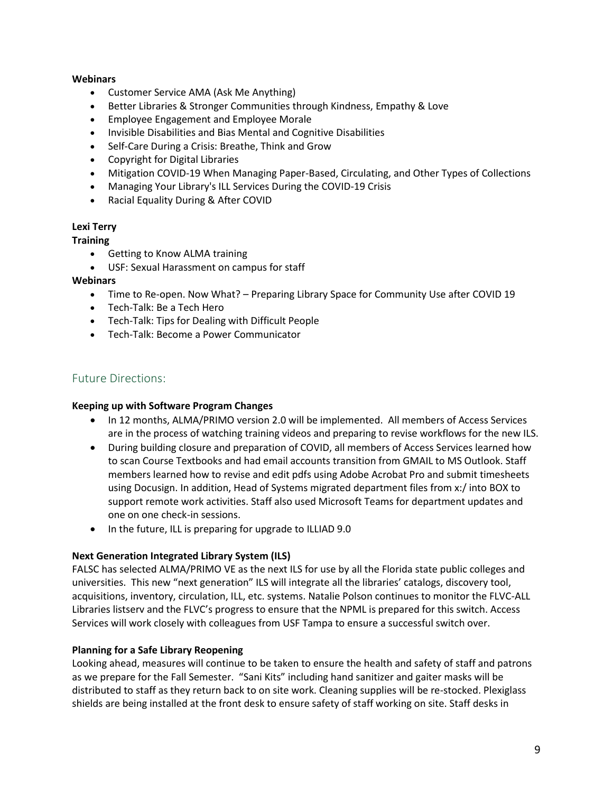#### **Webinars**

- Customer Service AMA (Ask Me Anything)
- Better Libraries & Stronger Communities through Kindness, Empathy & Love
- Employee Engagement and Employee Morale
- Invisible Disabilities and Bias Mental and Cognitive Disabilities
- Self-Care During a Crisis: Breathe, Think and Grow
- Copyright for Digital Libraries
- Mitigation COVID-19 When Managing Paper-Based, Circulating, and Other Types of Collections
- Managing Your Library's ILL Services During the COVID-19 Crisis
- Racial Equality During & After COVID

#### **Lexi Terry**

#### **Training**

- Getting to Know ALMA training
- USF: Sexual Harassment on campus for staff

#### **Webinars**

- Time to Re-open. Now What? Preparing Library Space for Community Use after COVID 19
- Tech-Talk: Be a Tech Hero
- Tech-Talk: Tips for Dealing with Difficult People
- Tech-Talk: Become a Power Communicator

## Future Directions:

#### **Keeping up with Software Program Changes**

- In 12 months, ALMA/PRIMO version 2.0 will be implemented. All members of Access Services are in the process of watching training videos and preparing to revise workflows for the new ILS.
- During building closure and preparation of COVID, all members of Access Services learned how to scan Course Textbooks and had email accounts transition from GMAIL to MS Outlook. Staff members learned how to revise and edit pdfs using Adobe Acrobat Pro and submit timesheets using Docusign. In addition, Head of Systems migrated department files from x:/ into BOX to support remote work activities. Staff also used Microsoft Teams for department updates and one on one check-in sessions.
- In the future, ILL is preparing for upgrade to ILLIAD 9.0

#### **Next Generation Integrated Library System (ILS)**

FALSC has selected ALMA/PRIMO VE as the next ILS for use by all the Florida state public colleges and universities. This new "next generation" ILS will integrate all the libraries' catalogs, discovery tool, acquisitions, inventory, circulation, ILL, etc. systems. Natalie Polson continues to monitor the FLVC-ALL Libraries listserv and the FLVC's progress to ensure that the NPML is prepared for this switch. Access Services will work closely with colleagues from USF Tampa to ensure a successful switch over.

#### **Planning for a Safe Library Reopening**

Looking ahead, measures will continue to be taken to ensure the health and safety of staff and patrons as we prepare for the Fall Semester. "Sani Kits" including hand sanitizer and gaiter masks will be distributed to staff as they return back to on site work. Cleaning supplies will be re-stocked. Plexiglass shields are being installed at the front desk to ensure safety of staff working on site. Staff desks in